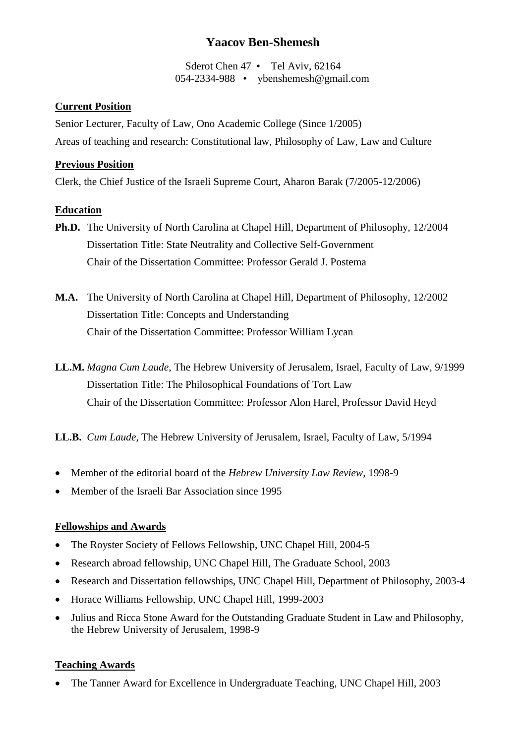# **Yaacov Ben-Shemesh**

Sderot Chen 47 • Tel Aviv, 62164 054-2334-988 • ybenshemesh@gmail.com

#### **Current Position**

Senior Lecturer, Faculty of Law, Ono Academic College (Since 1/2005) Areas of teaching and research: Constitutional law, Philosophy of Law, Law and Culture

#### **Previous Position**

Clerk, the Chief Justice of the Israeli Supreme Court, Aharon Barak (7/2005-12/2006)

#### **Education**

- **Ph.D.** The University of North Carolina at Chapel Hill, Department of Philosophy, 12/2004 Dissertation Title: State Neutrality and Collective Self-Government Chair of the Dissertation Committee: Professor Gerald J. Postema
- **M.A.** The University of North Carolina at Chapel Hill, Department of Philosophy, 12/2002 Dissertation Title: Concepts and Understanding Chair of the Dissertation Committee: Professor William Lycan
- **LL.M.** *Magna Cum Laude*, The Hebrew University of Jerusalem, Israel, Faculty of Law, 9/1999 Dissertation Title: The Philosophical Foundations of Tort Law Chair of the Dissertation Committee: Professor Alon Harel, Professor David Heyd

**LL.B.** *Cum Laude,* The Hebrew University of Jerusalem, Israel, Faculty of Law, 5/1994

- Member of the editorial board of the *Hebrew University Law Review*, 1998-9
- Member of the Israeli Bar Association since 1995

### **Fellowships and Awards**

- The Royster Society of Fellows Fellowship, UNC Chapel Hill, 2004-5
- Research abroad fellowship, UNC Chapel Hill, The Graduate School, 2003
- Research and Dissertation fellowships, UNC Chapel Hill, Department of Philosophy, 2003-4
- Horace Williams Fellowship, UNC Chapel Hill, 1999-2003
- Julius and Ricca Stone Award for the Outstanding Graduate Student in Law and Philosophy, the Hebrew University of Jerusalem, 1998-9

### **Teaching Awards**

• The Tanner Award for Excellence in Undergraduate Teaching, UNC Chapel Hill, 2003